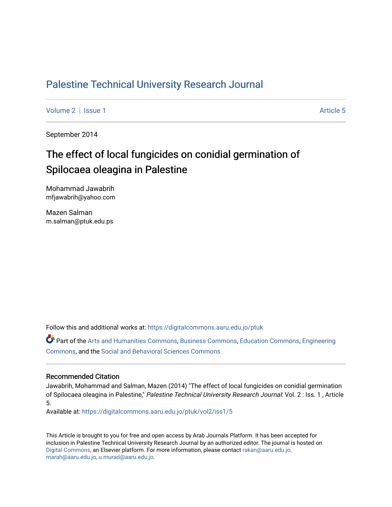# [Palestine Technical University Research Journal](https://digitalcommons.aaru.edu.jo/ptuk)

[Volume 2](https://digitalcommons.aaru.edu.jo/ptuk/vol2) | [Issue 1](https://digitalcommons.aaru.edu.jo/ptuk/vol2/iss1) Article 5

September 2014

# The effect of local fungicides on conidial germination of Spilocaea oleagina in Palestine

Mohammad Jawabrih mfjawabrih@yahoo.com

Mazen Salman m.salman@ptuk.edu.ps

Follow this and additional works at: [https://digitalcommons.aaru.edu.jo/ptuk](https://digitalcommons.aaru.edu.jo/ptuk?utm_source=digitalcommons.aaru.edu.jo%2Fptuk%2Fvol2%2Fiss1%2F5&utm_medium=PDF&utm_campaign=PDFCoverPages) 

Part of the [Arts and Humanities Commons,](http://network.bepress.com/hgg/discipline/438?utm_source=digitalcommons.aaru.edu.jo%2Fptuk%2Fvol2%2Fiss1%2F5&utm_medium=PDF&utm_campaign=PDFCoverPages) [Business Commons](http://network.bepress.com/hgg/discipline/622?utm_source=digitalcommons.aaru.edu.jo%2Fptuk%2Fvol2%2Fiss1%2F5&utm_medium=PDF&utm_campaign=PDFCoverPages), [Education Commons,](http://network.bepress.com/hgg/discipline/784?utm_source=digitalcommons.aaru.edu.jo%2Fptuk%2Fvol2%2Fiss1%2F5&utm_medium=PDF&utm_campaign=PDFCoverPages) [Engineering](http://network.bepress.com/hgg/discipline/217?utm_source=digitalcommons.aaru.edu.jo%2Fptuk%2Fvol2%2Fiss1%2F5&utm_medium=PDF&utm_campaign=PDFCoverPages) [Commons](http://network.bepress.com/hgg/discipline/217?utm_source=digitalcommons.aaru.edu.jo%2Fptuk%2Fvol2%2Fiss1%2F5&utm_medium=PDF&utm_campaign=PDFCoverPages), and the [Social and Behavioral Sciences Commons](http://network.bepress.com/hgg/discipline/316?utm_source=digitalcommons.aaru.edu.jo%2Fptuk%2Fvol2%2Fiss1%2F5&utm_medium=PDF&utm_campaign=PDFCoverPages)

#### Recommended Citation

Jawabrih, Mohammad and Salman, Mazen (2014) "The effect of local fungicides on conidial germination of Spilocaea oleagina in Palestine," Palestine Technical University Research Journal: Vol. 2 : Iss. 1 , Article 5.

Available at: [https://digitalcommons.aaru.edu.jo/ptuk/vol2/iss1/5](https://digitalcommons.aaru.edu.jo/ptuk/vol2/iss1/5?utm_source=digitalcommons.aaru.edu.jo%2Fptuk%2Fvol2%2Fiss1%2F5&utm_medium=PDF&utm_campaign=PDFCoverPages)

This Article is brought to you for free and open access by Arab Journals Platform. It has been accepted for inclusion in Palestine Technical University Research Journal by an authorized editor. The journal is hosted on [Digital Commons](https://www.elsevier.com/solutions/digital-commons), an Elsevier platform. For more information, please contact [rakan@aaru.edu.jo,](mailto:rakan@aaru.edu.jo,%20marah@aaru.edu.jo,%20u.murad@aaru.edu.jo)  [marah@aaru.edu.jo, u.murad@aaru.edu.jo.](mailto:rakan@aaru.edu.jo,%20marah@aaru.edu.jo,%20u.murad@aaru.edu.jo)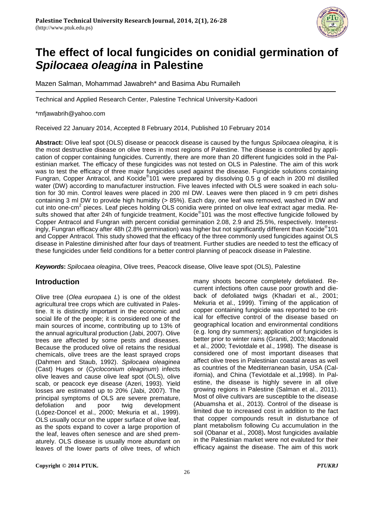

# **The effect of local fungicides on conidial germination of** *Spilocaea oleagina* **in Palestine**

Mazen Salman, Mohammad Jawabreh\* and Basima Abu Rumaileh

Technical and Applied Research Center, Palestine Technical University-Kadoori

\*mfjawabrih@yahoo.com

Received 22 January 2014, Accepted 8 February 2014, Published 10 February 2014

**Abstract:** Olive leaf spot (OLS) disease or peacock disease is caused by the fungus *Spilocaea oleagina,* it is the most destructive disease on olive trees in most regions of Palestine. The disease is controlled by application of copper containing fungicides. Currently, there are more than 20 different fungicides sold in the Palestinian market. The efficacy of these fungicides was not tested on OLS in Palestine. The aim of this work was to test the efficacy of three major fungicides used against the disease. Fungicide solutions containing Fungran, Copper Antracol, and Kocide® 101 were prepared by dissolving 0.5 g of each in 200 ml distilled water (DW) according to manufacturer instruction. Five leaves infected with OLS were soaked in each solution for 30 min. Control leaves were placed in 200 ml DW. Leaves were then placed in 9 cm petri dishes containing 3 ml DW to provide high humidity (> 85%). Each day, one leaf was removed, washed in DW and cut into one-cm<sup>2</sup> pieces. Leaf pieces holding OLS conidia were printed on olive leaf extract agar media. Results showed that after 24h of fungicide treatment, Kocide®101 was the most effective fungicide followed by Copper Antracol and Fungran with percent conidial germination 2.08, 2.9 and 25.5%, respectively. Interestingly, Fungran efficacy after 48h (2.8% germination) was higher but not significantly different than Kocide® 101 and Copper Antracol. This study showed that the efficacy of the three commonly used fungicides against OLS disease in Palestine diminished after four days of treatment. Further studies are needed to test the efficacy of these fungicides under field conditions for a better control planning of peacock disease in Palestine.

*Keywords***:** *Spilocaea oleagina*, Olive trees, Peacock disease, Olive leave spot (OLS), Palestine

# **Introduction**

Olive tree (*Olea europaea L*) is one of the oldest agricultural tree crops which are cultivated in Palestine. It is distinctly important in the economic and social life of the people; it is considered one of the main sources of income, contributing up to 13% of the annual agricultural production (Jabi, 2007). Olive trees are affected by some pests and diseases. Because the produced olive oil retains the residual chemicals, olive trees are the least sprayed crops (Dahmen and Staub, 1992). *Spilocaea oleaginea* (Cast) Huges or (*Cycloconium oleaginum*) infects olive leaves and cause olive leaf spot (OLS), olive scab, or peacock eye disease (Azeri, 1993). Yield losses are estimated up to 20% (Jabi, 2007). The principal symptoms of OLS are severe premature, defoliation and poor twig development (López-Doncel et al., 2000; Mekuria et al., 1999). OLS usually occur on the upper surface of olive leaf, as the spots expand to cover a large proportion of the leaf, leaves often senesce and are shed prematurely. OLS disease is usually more abundant on leaves of the lower parts of olive trees, of which many shoots become completely defoliated. Recurrent infections often cause poor growth and dieback of defoliated twigs (Khadari et al., 2001; Mekuria et al., 1999). Timing of the application of copper containing fungicide was reported to be critical for effective control of the disease based on geographical location and environmental conditions (e.g. long dry summers); application of fungicides is better prior to winter rains (Graniti, 2003; Macdonald et al., 2000; Teviotdale et al., 1998). The disease is considered one of most important diseases that affect olive trees in Palestinian coastal areas as well as countries of the Mediterranean basin, USA (California), and China (Teviotdale et al.,1998). In Palestine, the disease is highly severe in all olive growing regions in Palestine (Salman et al., 2011). Most of olive cultivars are susceptible to the disease (Abuamsha et al., 2013). Control of the disease is limited due to increased cost in addition to the fact that copper compounds result in disturbance of plant metabolism following Cu accumulation in the soil (Obanar et al., 2008)**.** Most fungicides available in the Palestinian market were not evaluted for their efficacy against the disease. The aim of this work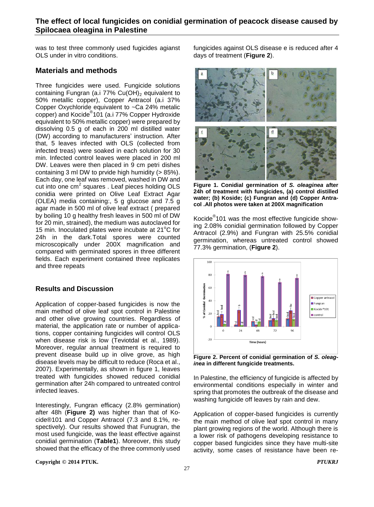was to test three commonly used fugicides agianst OLS under in vitro conditions.

## **Materials and methods**

Three fungicides were used. Fungicide solutions containing Fungran (a.i  $77\%$  Cu(OH)<sub>2</sub> equivalent to 50% metallic copper), Copper Antracol (a.i 37% Copper Oxychloride equivalent to ~Ca 24% metalic copper) and Kocide® 101 (a.i 77% Copper Hydroxide equivalent to 50% metallic copper) were prepared by dissolving 0.5 g of each in 200 ml distilled water (DW) according to manufacturers' instruction. After that, 5 leaves infected with OLS (collected from infected treas) were soaked in each solution for 30 min. Infected control leaves were placed in 200 ml DW. Leaves were then placed in 9 cm petri dishes containing 3 ml DW to prvide high humidity (> 85%). Each day, one leaf was removed, washed in DW and cut into one  $\text{cm}^2$  squares. Leaf pieces holding OLS conidia were printed on Olive Leaf Extract Agar (OLEA) media containing:, 5 g glucose and 7.5 g agar made in 500 ml of olive leaf extract ( prepared by boiling 10 g healthy fresh leaves in 500 ml of DW for 20 min, strained), the medium was autoclaved for 15 min. Inoculated plates were incubate at  $21^{\circ}$ C for 24h in the dark.Total spores were counted microscopically under 200X magnification and compared with germinated spores in three different fields. Each experiment contained three replicates and three repeats

### **Results and Discussion**

Application of copper-based fungicides is now the main method of olive leaf spot control in Palestine and other olive growing countries. Regardless of material, the application rate or number of applications, copper containing fungicides will control OLS when disease risk is low (Teviotdal et al., 1989). Moreover, regular annual treatment is required to prevent disease build up in olive grove, as high disease levels may be difficult to reduce (Roca et al., 2007). Experimentally, as shown in figure 1, leaves treated with fungicides showed reduced conidial germination after 24h compared to untreated control infected leaves.

Interestingly, Fungran efficacy (2.8% germination) after 48h (**Figure 2)** was higher than that of Kocide®101 and Copper Antracol (7.3 and 8.1%, respectively). Our results showed that Funugran, the most used fungicide, was the least effective against conidial germination (**Table1**). Moreover, this study showed that the efficacy of the three commonly used

**Copyright © 2014 PTUK.** *PTUKRJ*

fungicides against OLS disease e is reduced after 4 days of treatment (**Figure 2**).



**Figure 1. Conidial germination of** *S. oleaginea* **after 24h of treatment with fungicides, (a) control distilled water; (b) Koside; (c) Fungran and (d) Copper Antracol .All photos were taken at 200X magnification**

Kocide<sup>®</sup>101 was the most effective fungicide showing 2.08% conidial germination followed by Copper Antracol (2.9%) and Fungran with 25.5% conidial germination, whereas untreated control showed 77.3% germination, (**Figure 2**).



**Figure 2. Percent of conidial germination of** *S. oleaginea* **in different fungicide treatments.** 

In Palestine, the efficiency of fungicide is affected by environmental conditions especially in winter and spring that promotes the outbreak of the disease and washing fungicide off leaves by rain and dew.

Application of copper-based fungicides is currently the main method of olive leaf spot control in many plant growing regions of the world. Although there is a lower risk of pathogens developing resistance to copper based fungicides since they have multi-site activity, some cases of resistance have been re